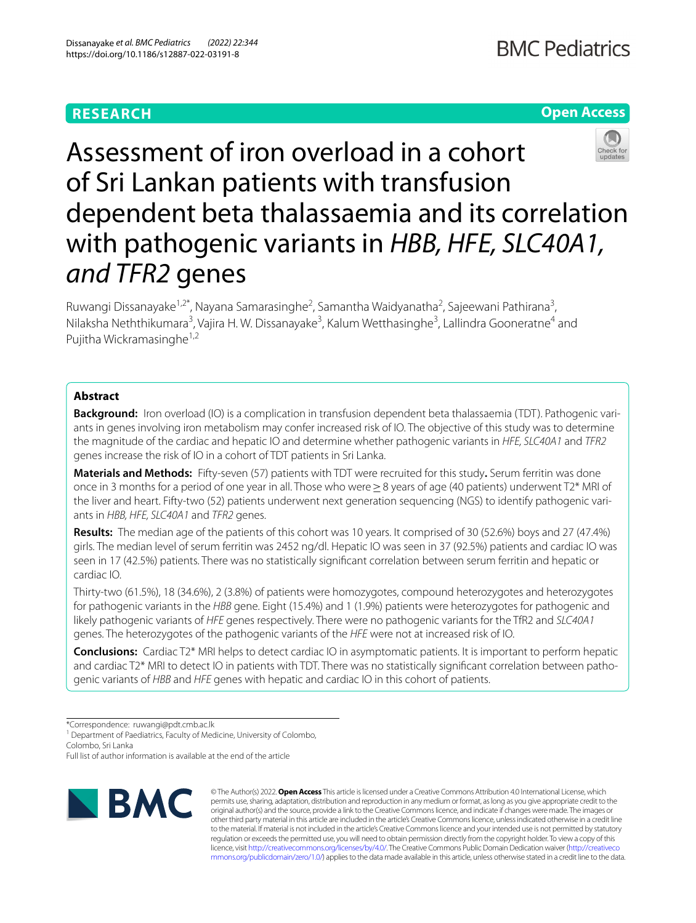# **RESEARCH**

# **Open Access**



Assessment of iron overload in a cohort of Sri Lankan patients with transfusion dependent beta thalassaemia and its correlation with pathogenic variants in *HBB, HFE, SLC40A1, and TFR2* genes

Ruwangi Dissanayake<sup>1,2\*</sup>, Nayana Samarasinghe<sup>2</sup>, Samantha Waidyanatha<sup>2</sup>, Sajeewani Pathirana<sup>3</sup>, Nilaksha Neththikumara<sup>3</sup>, Vajira H. W. Dissanayake<sup>3</sup>, Kalum Wetthasinghe<sup>3</sup>, Lallindra Gooneratne<sup>4</sup> and Pujitha Wickramasinghe<sup>1,2</sup>

# **Abstract**

**Background:** Iron overload (IO) is a complication in transfusion dependent beta thalassaemia (TDT). Pathogenic variants in genes involving iron metabolism may confer increased risk of IO. The objective of this study was to determine the magnitude of the cardiac and hepatic IO and determine whether pathogenic variants in *HFE, SLC40A1* and *TFR2* genes increase the risk of IO in a cohort of TDT patients in Sri Lanka.

**Materials and Methods:** Fifty-seven (57) patients with TDT were recruited for this study**.** Serum ferritin was done once in 3 months for a period of one year in all. Those who were≥8 years of age (40 patients) underwent T2\* MRI of the liver and heart. Fifty-two (52) patients underwent next generation sequencing (NGS) to identify pathogenic variants in *HBB, HFE, SLC40A1* and *TFR2* genes.

**Results:** The median age of the patients of this cohort was 10 years. It comprised of 30 (52.6%) boys and 27 (47.4%) girls. The median level of serum ferritin was 2452 ng/dl. Hepatic IO was seen in 37 (92.5%) patients and cardiac IO was seen in 17 (42.5%) patients. There was no statistically signifcant correlation between serum ferritin and hepatic or cardiac IO.

Thirty-two (61.5%), 18 (34.6%), 2 (3.8%) of patients were homozygotes, compound heterozygotes and heterozygotes for pathogenic variants in the *HBB* gene. Eight (15.4%) and 1 (1.9%) patients were heterozygotes for pathogenic and likely pathogenic variants of *HFE* genes respectively. There were no pathogenic variants for the TfR2 and *SLC40A1* genes. The heterozygotes of the pathogenic variants of the *HFE* were not at increased risk of IO.

**Conclusions:** Cardiac T2\* MRI helps to detect cardiac IO in asymptomatic patients. It is important to perform hepatic and cardiac T2\* MRI to detect IO in patients with TDT. There was no statistically signifcant correlation between pathogenic variants of *HBB* and *HFE* genes with hepatic and cardiac IO in this cohort of patients.

\*Correspondence: ruwangi@pdt.cmb.ac.lk

<sup>1</sup> Department of Paediatrics, Faculty of Medicine, University of Colombo, Colombo, Sri Lanka

Full list of author information is available at the end of the article



© The Author(s) 2022. **Open Access** This article is licensed under a Creative Commons Attribution 4.0 International License, which permits use, sharing, adaptation, distribution and reproduction in any medium or format, as long as you give appropriate credit to the original author(s) and the source, provide a link to the Creative Commons licence, and indicate if changes were made. The images or other third party material in this article are included in the article's Creative Commons licence, unless indicated otherwise in a credit line to the material. If material is not included in the article's Creative Commons licence and your intended use is not permitted by statutory regulation or exceeds the permitted use, you will need to obtain permission directly from the copyright holder. To view a copy of this licence, visit [http://creativecommons.org/licenses/by/4.0/.](http://creativecommons.org/licenses/by/4.0/) The Creative Commons Public Domain Dedication waiver ([http://creativeco](http://creativecommons.org/publicdomain/zero/1.0/) [mmons.org/publicdomain/zero/1.0/](http://creativecommons.org/publicdomain/zero/1.0/)) applies to the data made available in this article, unless otherwise stated in a credit line to the data.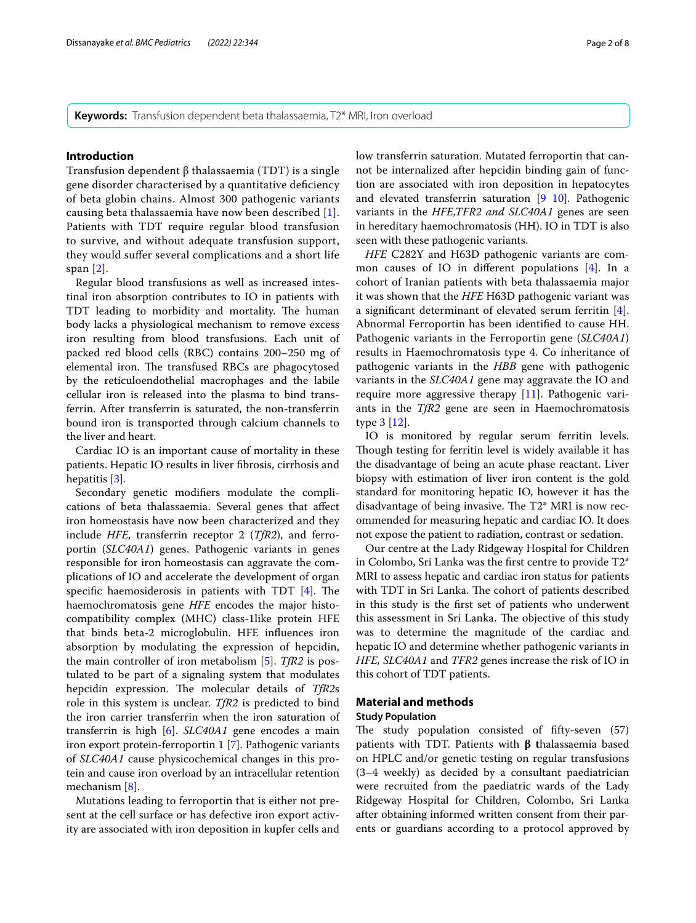**Keywords:** Transfusion dependent beta thalassaemia, T2\* MRI, Iron overload

# **Introduction**

Transfusion dependent β thalassaemia (TDT) is a single gene disorder characterised by a quantitative defciency of beta globin chains. Almost 300 pathogenic variants causing beta thalassaemia have now been described [[1\]](#page-6-0). Patients with TDT require regular blood transfusion to survive, and without adequate transfusion support, they would sufer several complications and a short life span [[2](#page-6-1)].

Regular blood transfusions as well as increased intestinal iron absorption contributes to IO in patients with TDT leading to morbidity and mortality. The human body lacks a physiological mechanism to remove excess iron resulting from blood transfusions. Each unit of packed red blood cells (RBC) contains 200–250 mg of elemental iron. The transfused RBCs are phagocytosed by the reticuloendothelial macrophages and the labile cellular iron is released into the plasma to bind transferrin. After transferrin is saturated, the non-transferrin bound iron is transported through calcium channels to the liver and heart.

Cardiac IO is an important cause of mortality in these patients. Hepatic IO results in liver fbrosis, cirrhosis and hepatitis [\[3](#page-6-2)].

Secondary genetic modifers modulate the complications of beta thalassaemia. Several genes that afect iron homeostasis have now been characterized and they include *HFE*, transferrin receptor 2 (*TfR2*), and ferroportin (*SLC40A1*) genes. Pathogenic variants in genes responsible for iron homeostasis can aggravate the complications of IO and accelerate the development of organ specific haemosiderosis in patients with TDT  $[4]$  $[4]$ . The haemochromatosis gene *HFE* encodes the major histocompatibility complex (MHC) class-1like protein HFE that binds beta-2 microglobulin. HFE infuences iron absorption by modulating the expression of hepcidin, the main controller of iron metabolism [\[5](#page-6-4)]. *TfR2* is postulated to be part of a signaling system that modulates hepcidin expression. The molecular details of *TfR2s* role in this system is unclear. *TfR2* is predicted to bind the iron carrier transferrin when the iron saturation of transferrin is high [\[6\]](#page-6-5). *SLC40A1* gene encodes a main iron export protein-ferroportin 1 [\[7](#page-6-6)]. Pathogenic variants of *SLC40A1* cause physicochemical changes in this protein and cause iron overload by an intracellular retention mechanism [\[8](#page-6-7)].

Mutations leading to ferroportin that is either not present at the cell surface or has defective iron export activity are associated with iron deposition in kupfer cells and low transferrin saturation. Mutated ferroportin that cannot be internalized after hepcidin binding gain of function are associated with iron deposition in hepatocytes and elevated transferrin saturation  $[9 \ 10]$  $[9 \ 10]$  $[9 \ 10]$  $[9 \ 10]$ . Pathogenic variants in the *HFE,TFR2 and SLC40A1* genes are seen in hereditary haemochromatosis (HH). IO in TDT is also seen with these pathogenic variants.

*HFE* C282Y and H63D pathogenic variants are common causes of IO in diferent populations [[4\]](#page-6-3). In a cohort of Iranian patients with beta thalassaemia major it was shown that the *HFE* H63D pathogenic variant was a signifcant determinant of elevated serum ferritin [\[4](#page-6-3)]. Abnormal Ferroportin has been identifed to cause HH. Pathogenic variants in the Ferroportin gene (*SLC40A1*) results in Haemochromatosis type 4. Co inheritance of pathogenic variants in the *HBB* gene with pathogenic variants in the *SLC40A1* gene may aggravate the IO and require more aggressive therapy [[11](#page-6-10)]. Pathogenic variants in the *TfR2* gene are seen in Haemochromatosis type 3 [[12\]](#page-6-11).

IO is monitored by regular serum ferritin levels. Though testing for ferritin level is widely available it has the disadvantage of being an acute phase reactant. Liver biopsy with estimation of liver iron content is the gold standard for monitoring hepatic IO, however it has the disadvantage of being invasive. The  $T2^*$  MRI is now recommended for measuring hepatic and cardiac IO. It does not expose the patient to radiation, contrast or sedation.

Our centre at the Lady Ridgeway Hospital for Children in Colombo, Sri Lanka was the frst centre to provide T2\* MRI to assess hepatic and cardiac iron status for patients with TDT in Sri Lanka. The cohort of patients described in this study is the frst set of patients who underwent this assessment in Sri Lanka. The objective of this study was to determine the magnitude of the cardiac and hepatic IO and determine whether pathogenic variants in *HFE, SLC40A1* and *TFR2* genes increase the risk of IO in this cohort of TDT patients.

# **Material and methods Study Population**

The study population consisted of fifty-seven  $(57)$ patients with TDT. Patients with **β t**halassaemia based on HPLC and/or genetic testing on regular transfusions (3–4 weekly) as decided by a consultant paediatrician were recruited from the paediatric wards of the Lady Ridgeway Hospital for Children, Colombo, Sri Lanka after obtaining informed written consent from their parents or guardians according to a protocol approved by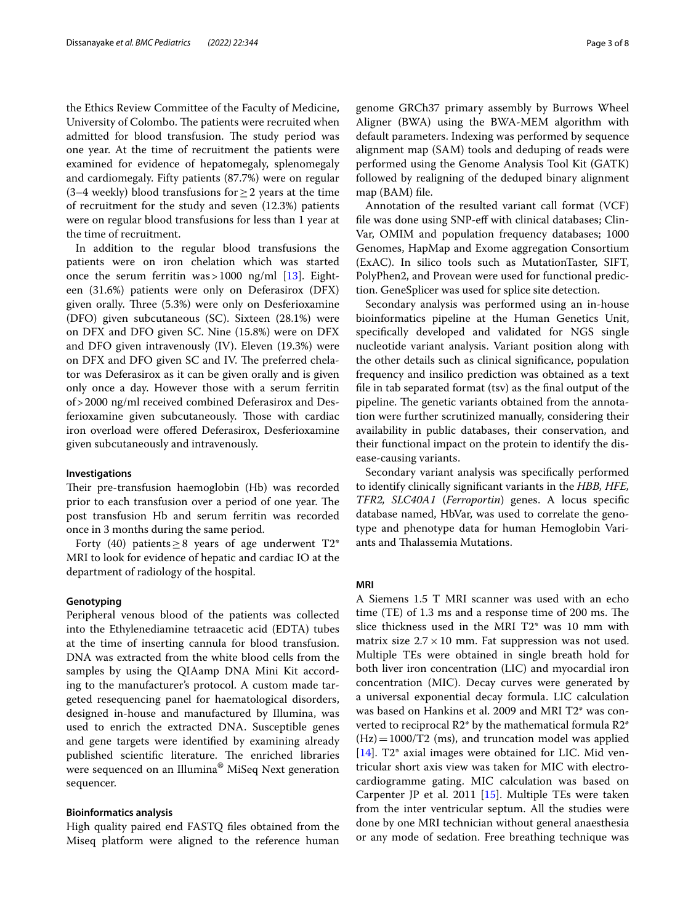the Ethics Review Committee of the Faculty of Medicine, University of Colombo. The patients were recruited when admitted for blood transfusion. The study period was one year. At the time of recruitment the patients were examined for evidence of hepatomegaly, splenomegaly and cardiomegaly. Fifty patients (87.7%) were on regular (3–4 weekly) blood transfusions for  $\geq$  2 years at the time of recruitment for the study and seven (12.3%) patients were on regular blood transfusions for less than 1 year at the time of recruitment.

In addition to the regular blood transfusions the patients were on iron chelation which was started once the serum ferritin was  $>1000$  ng/ml [\[13](#page-6-12)]. Eighteen (31.6%) patients were only on Deferasirox (DFX) given orally. Three (5.3%) were only on Desferioxamine (DFO) given subcutaneous (SC). Sixteen (28.1%) were on DFX and DFO given SC. Nine (15.8%) were on DFX and DFO given intravenously (IV). Eleven (19.3%) were on DFX and DFO given SC and IV. The preferred chelator was Deferasirox as it can be given orally and is given only once a day. However those with a serum ferritin of>2000 ng/ml received combined Deferasirox and Desferioxamine given subcutaneously. Those with cardiac iron overload were ofered Deferasirox, Desferioxamine given subcutaneously and intravenously.

#### **Investigations**

Their pre-transfusion haemoglobin (Hb) was recorded prior to each transfusion over a period of one year. The post transfusion Hb and serum ferritin was recorded once in 3 months during the same period.

Forty (40) patients  $\geq 8$  years of age underwent T2\* MRI to look for evidence of hepatic and cardiac IO at the department of radiology of the hospital.

#### **Genotyping**

Peripheral venous blood of the patients was collected into the Ethylenediamine tetraacetic acid (EDTA) tubes at the time of inserting cannula for blood transfusion. DNA was extracted from the white blood cells from the samples by using the QIAamp DNA Mini Kit according to the manufacturer's protocol. A custom made targeted resequencing panel for haematological disorders, designed in-house and manufactured by Illumina, was used to enrich the extracted DNA. Susceptible genes and gene targets were identifed by examining already published scientific literature. The enriched libraries were sequenced on an Illumina® MiSeq Next generation sequencer.

## **Bioinformatics analysis**

High quality paired end FASTQ fles obtained from the Miseq platform were aligned to the reference human genome GRCh37 primary assembly by Burrows Wheel Aligner (BWA) using the BWA-MEM algorithm with default parameters. Indexing was performed by sequence alignment map (SAM) tools and deduping of reads were performed using the Genome Analysis Tool Kit (GATK) followed by realigning of the deduped binary alignment map (BAM) fle.

Annotation of the resulted variant call format (VCF) fle was done using SNP-ef with clinical databases; Clin-Var, OMIM and population frequency databases; 1000 Genomes, HapMap and Exome aggregation Consortium (ExAC). In silico tools such as MutationTaster, SIFT, PolyPhen2, and Provean were used for functional prediction. GeneSplicer was used for splice site detection.

Secondary analysis was performed using an in-house bioinformatics pipeline at the Human Genetics Unit, specifcally developed and validated for NGS single nucleotide variant analysis. Variant position along with the other details such as clinical signifcance, population frequency and insilico prediction was obtained as a text fle in tab separated format (tsv) as the fnal output of the pipeline. The genetic variants obtained from the annotation were further scrutinized manually, considering their availability in public databases, their conservation, and their functional impact on the protein to identify the disease-causing variants.

Secondary variant analysis was specifcally performed to identify clinically signifcant variants in the *HBB, HFE, TFR2, SLC40A1* (*Ferroportin*) genes. A locus specifc database named, HbVar, was used to correlate the genotype and phenotype data for human Hemoglobin Variants and Thalassemia Mutations.

# **MRI**

A Siemens 1.5 T MRI scanner was used with an echo time  $(TE)$  of 1.3 ms and a response time of 200 ms. The slice thickness used in the MRI T2\* was 10 mm with matrix size  $2.7 \times 10$  mm. Fat suppression was not used. Multiple TEs were obtained in single breath hold for both liver iron concentration (LIC) and myocardial iron concentration (MIC). Decay curves were generated by a universal exponential decay formula. LIC calculation was based on Hankins et al. 2009 and MRI T2\* was converted to reciprocal R2\* by the mathematical formula R2\*  $(Hz) = 1000/T2$  (ms), and truncation model was applied [[14\]](#page-6-13). T2<sup>\*</sup> axial images were obtained for LIC. Mid ventricular short axis view was taken for MIC with electrocardiogramme gating. MIC calculation was based on Carpenter JP et al. 2011 [[15](#page-6-14)]. Multiple TEs were taken from the inter ventricular septum. All the studies were done by one MRI technician without general anaesthesia or any mode of sedation. Free breathing technique was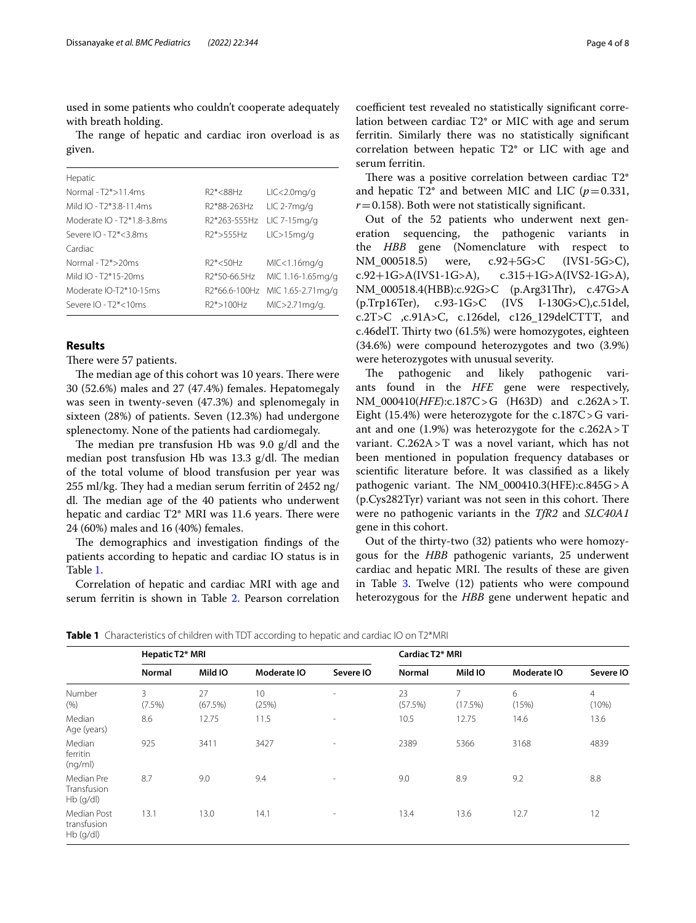used in some patients who couldn't cooperate adequately with breath holding.

The range of hepatic and cardiac iron overload is as given.

| Hepatic                              |                            |                    |
|--------------------------------------|----------------------------|--------------------|
| Normal - $T2*$ > 11 4ms              | $R2* < 88Hz$               | $LIC < 2.0$ mg/g   |
| Mild IO - T <sub>2</sub> *3.8-11.4ms | R <sub>2</sub> *88-263Hz   | $LIC$ 2-7 $mq/q$   |
| Moderate IO - T2*1.8-3.8ms           | R <sub>2</sub> *263-555Hz  | $LIC$ 7-15 $mq/q$  |
| Severe $IO$ - $T2* < 3.8ms$          | $R2* > 555Hz$              | LIC > 15mg/g       |
| Cardiac                              |                            |                    |
| Normal - $T2*$ >20ms                 | $R2* < 50Hz$               | MIC<1.16mg/g       |
| Mild IO - $T2*15-20ms$               | R2*50-66.5Hz               | MIC 1.16-1.65mg/g  |
| Moderate IO-T2*10-15ms               | R <sub>2</sub> *66.6-100Hz | MIC 1.65-2.71 mg/g |
| Severe $IO$ - $T2* < 10ms$           | R2*>100Hz                  | MIC>2.71mg/g.      |

# **Results**

There were 57 patients.

The median age of this cohort was 10 years. There were 30 (52.6%) males and 27 (47.4%) females. Hepatomegaly was seen in twenty-seven (47.3%) and splenomegaly in sixteen (28%) of patients. Seven (12.3%) had undergone splenectomy. None of the patients had cardiomegaly.

The median pre transfusion Hb was 9.0  $g/dl$  and the median post transfusion Hb was  $13.3$  g/dl. The median of the total volume of blood transfusion per year was  $255$  ml/kg. They had a median serum ferritin of 2452 ng/ dl. The median age of the 40 patients who underwent hepatic and cardiac  $T2^*$  MRI was 11.6 years. There were 24 (60%) males and 16 (40%) females.

The demographics and investigation findings of the patients according to hepatic and cardiac IO status is in Table [1](#page-3-0).

Correlation of hepatic and cardiac MRI with age and serum ferritin is shown in Table [2](#page-4-0). Pearson correlation

coefficient test revealed no statistically significant correlation between cardiac T2\* or MIC with age and serum ferritin. Similarly there was no statistically signifcant correlation between hepatic T2\* or LIC with age and serum ferritin.

There was a positive correlation between cardiac  $T2^*$ and hepatic T2<sup>\*</sup> and between MIC and LIC ( $p=0.331$ ,  $r=0.158$ ). Both were not statistically significant.

Out of the 52 patients who underwent next generation sequencing, the pathogenic variants in the *HBB* gene (Nomenclature with respect to NM\_000518.5) were, c.92+5G>C (IVS1-5G>C),<br>c.92+1G>A(IVS1-1G>A), c.315+1G>A(IVS2-1G>A), c.315+1G>A(IVS2-1G>A), NM\_000518.4(HBB):c.92G>C (p.Arg31Thr), c.47G>A (p.Trp16Ter), c.93-1G>C (IVS I-130G>C),c.51del, c.2T>C ,c.91A>C, c.126del, c126\_129delCTTT, and c.46delT. Thirty two (61.5%) were homozygotes, eighteen (34.6%) were compound heterozygotes and two (3.9%) were heterozygotes with unusual severity.

The pathogenic and likely pathogenic variants found in the *HFE* gene were respectively, NM\_000410(*HFE*):c.187C>G (H63D) and c.262A>T. Eight  $(15.4%)$  were heterozygote for the c.187C > G variant and one  $(1.9\%)$  was heterozygote for the c.262A > T variant. C.262A>T was a novel variant, which has not been mentioned in population frequency databases or scientifc literature before. It was classifed as a likely pathogenic variant. The NM  $000410.3$ (HFE):c.845G > A  $(p.Cys282Tyr)$  variant was not seen in this cohort. There were no pathogenic variants in the *TfR2* and *SLC40A1* gene in this cohort.

Out of the thirty-two (32) patients who were homozygous for the *HBB* pathogenic variants, 25 underwent cardiac and hepatic MRI. The results of these are given in Table  $3.$  $3.$  Twelve  $(12)$  patients who were compound heterozygous for the *HBB* gene underwent hepatic and

<span id="page-3-0"></span>**Table 1** Characteristics of children with TDT according to hepatic and cardiac IO on T2\*MRI

|                                           | Hepatic T <sub>2</sub> * MRI |               |             | Cardiac T <sub>2</sub> * MRI |               |              |             |            |
|-------------------------------------------|------------------------------|---------------|-------------|------------------------------|---------------|--------------|-------------|------------|
|                                           | Normal                       | Mild IO       | Moderate IO | Severe IO                    | <b>Normal</b> | Mild IO      | Moderate IO | Severe IO  |
| Number<br>(% )                            | 3<br>(7.5%)                  | 27<br>(67.5%) | 10<br>(25%) | $\overline{\phantom{a}}$     | 23<br>(57.5%) | 7<br>(17.5%) | 6<br>(15%)  | 4<br>(10%) |
| Median<br>Age (years)                     | 8.6                          | 12.75         | 11.5        | ۰                            | 10.5          | 12.75        | 14.6        | 13.6       |
| Median<br>ferritin<br>(nq/ml)             | 925                          | 3411          | 3427        | $\sim$                       | 2389          | 5366         | 3168        | 4839       |
| Median Pre<br>Transfusion<br>Hb (g/dl)    | 8.7                          | 9.0           | 9.4         | $\sim$                       | 9.0           | 8.9          | 9.2         | 8.8        |
| Median Post<br>transfusion<br>$Hb$ (g/dl) | 13.1                         | 13.0          | 14.1        | $\sim$                       | 13.4          | 13.6         | 12.7        | 12         |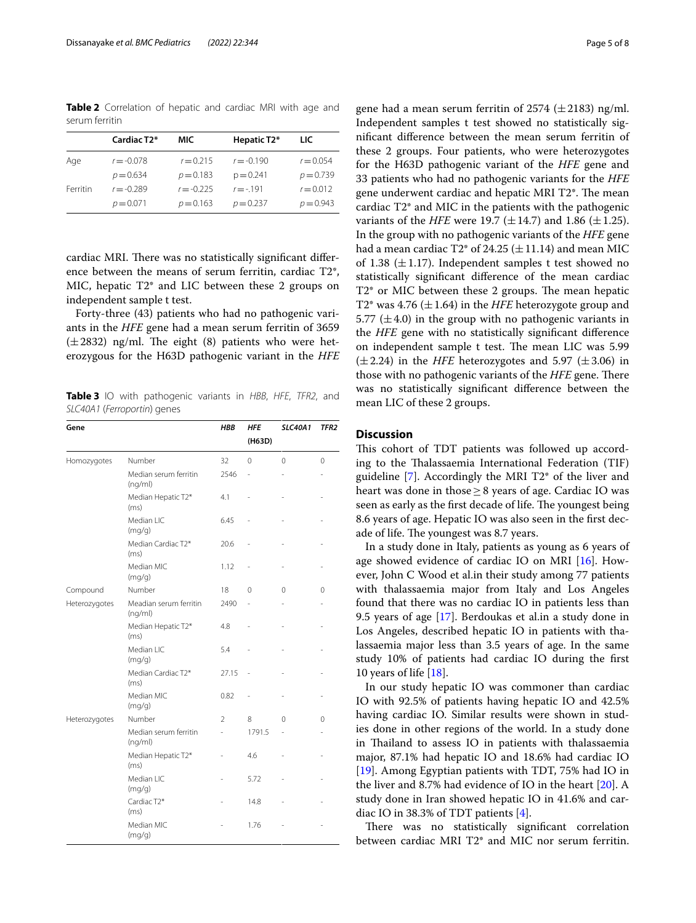<span id="page-4-0"></span>**Table 2** Correlation of hepatic and cardiac MRI with age and serum ferritin

|          | Cardiac T <sub>2</sub> * | MIC          | Hepatic T2*  | LIC.        |
|----------|--------------------------|--------------|--------------|-------------|
| Age      | $r = -0.078$             | $r = 0.215$  | $r = -0.190$ | $r = 0.054$ |
|          | $p = 0.634$              | $p = 0.183$  | $p = 0.241$  | $p = 0.739$ |
| Ferritin | $r = -0.289$             | $r = -0.225$ | $r = -191$   | $r = 0.012$ |
|          | $p = 0.071$              | $p = 0.163$  | $p = 0.237$  | $p = 0.943$ |

cardiac MRI. There was no statistically significant difference between the means of serum ferritin, cardiac T2\*, MIC, hepatic T2\* and LIC between these 2 groups on independent sample t test.

Forty-three (43) patients who had no pathogenic variants in the *HFE* gene had a mean serum ferritin of 3659  $(\pm 2832)$  ng/ml. The eight (8) patients who were heterozygous for the H63D pathogenic variant in the *HFE*

<span id="page-4-1"></span>**Table 3** IO with pathogenic variants in *HBB*, *HFE*, *TFR2*, and *SLC40A1* (*Ferroportin*) genes

| Gene          |                                   | HBB            | <b>HFE</b><br>(H63D) | <b>SLC40A1</b> | TFR <sub>2</sub> |
|---------------|-----------------------------------|----------------|----------------------|----------------|------------------|
| Homozygotes   | Number                            | 32             | $\Omega$             | 0              | $\mathbf 0$      |
|               | Median serum ferritin<br>(nq/ml)  | 2546           |                      |                |                  |
|               | Median Hepatic T2*<br>(ms)        | 4.1            |                      |                |                  |
|               | Median LIC<br>(mg/g)              | 6.45           |                      |                |                  |
|               | Median Cardiac T2*<br>(ms)        | 20.6           |                      |                |                  |
|               | Median MIC<br>(mg/g)              | 1.12           |                      |                |                  |
| Compound      | Number                            | 18             | 0                    | 0              | $\Omega$         |
| Heterozygotes | Meadian serum ferritin<br>(ng/ml) | 2490           |                      |                |                  |
|               | Median Hepatic T2*<br>(ms)        | 4.8            |                      |                |                  |
|               | Median LIC<br>(mg/g)              | 5.4            |                      |                |                  |
|               | Median Cardiac T2*<br>(ms)        | 27.15          | ä,                   |                |                  |
|               | Median MIC<br>(mg/g)              | 0.82           |                      |                |                  |
| Heterozygotes | Number                            | $\mathfrak{D}$ | 8                    | 0              | $\Omega$         |
|               | Median serum ferritin<br>(ng/ml)  |                | 1791.5               |                |                  |
|               | Median Hepatic T2*<br>(ms)        |                | 4.6                  |                |                  |
|               | Median LIC<br>(mg/g)              |                | 5.72                 |                |                  |
|               | Cardiac T <sub>2</sub> *<br>(ms)  |                | 14.8                 |                |                  |
|               | Median MIC<br>(mg/g)              |                | 1.76                 |                |                  |

gene had a mean serum ferritin of 2574 ( $\pm$ 2183) ng/ml. Independent samples t test showed no statistically signifcant diference between the mean serum ferritin of these 2 groups. Four patients, who were heterozygotes for the H63D pathogenic variant of the *HFE* gene and 33 patients who had no pathogenic variants for the *HFE* gene underwent cardiac and hepatic MRI T2<sup>\*</sup>. The mean cardiac T2\* and MIC in the patients with the pathogenic variants of the *HFE* were 19.7 ( $\pm$ 14.7) and 1.86 ( $\pm$ 1.25). In the group with no pathogenic variants of the *HFE* gene had a mean cardiac T2\* of 24.25  $(\pm 11.14)$  and mean MIC of 1.38 ( $\pm$ 1.17). Independent samples t test showed no statistically signifcant diference of the mean cardiac  $T2^*$  or MIC between these 2 groups. The mean hepatic T2\* was 4.76  $(\pm 1.64)$  in the *HFE* heterozygote group and 5.77 ( $\pm$ 4.0) in the group with no pathogenic variants in the *HFE* gene with no statistically signifcant diference on independent sample t test. The mean LIC was 5.99  $(\pm 2.24)$  in the *HFE* heterozygotes and 5.97  $(\pm 3.06)$  in those with no pathogenic variants of the *HFE* gene. There was no statistically signifcant diference between the mean LIC of these 2 groups.

# **Discussion**

This cohort of TDT patients was followed up according to the Thalassaemia International Federation (TIF) guideline [\[7\]](#page-6-6). Accordingly the MRI T2\* of the liver and heart was done in those  $\geq$  8 years of age. Cardiac IO was seen as early as the first decade of life. The youngest being 8.6 years of age. Hepatic IO was also seen in the frst decade of life. The youngest was 8.7 years.

In a study done in Italy, patients as young as 6 years of age showed evidence of cardiac IO on MRI [\[16](#page-6-15)]. However, John C Wood et al.in their study among 77 patients with thalassaemia major from Italy and Los Angeles found that there was no cardiac IO in patients less than 9.5 years of age [\[17](#page-6-16)]. Berdoukas et al.in a study done in Los Angeles, described hepatic IO in patients with thalassaemia major less than 3.5 years of age. In the same study 10% of patients had cardiac IO during the frst 10 years of life [[18](#page-6-17)].

In our study hepatic IO was commoner than cardiac IO with 92.5% of patients having hepatic IO and 42.5% having cardiac IO. Similar results were shown in studies done in other regions of the world. In a study done in Thailand to assess IO in patients with thalassaemia major, 87.1% had hepatic IO and 18.6% had cardiac IO [[19\]](#page-6-18). Among Egyptian patients with TDT, 75% had IO in the liver and 8.7% had evidence of IO in the heart [[20\]](#page-6-19). A study done in Iran showed hepatic IO in 41.6% and cardiac IO in 38.3% of TDT patients [[4\]](#page-6-3).

There was no statistically significant correlation between cardiac MRI T2\* and MIC nor serum ferritin.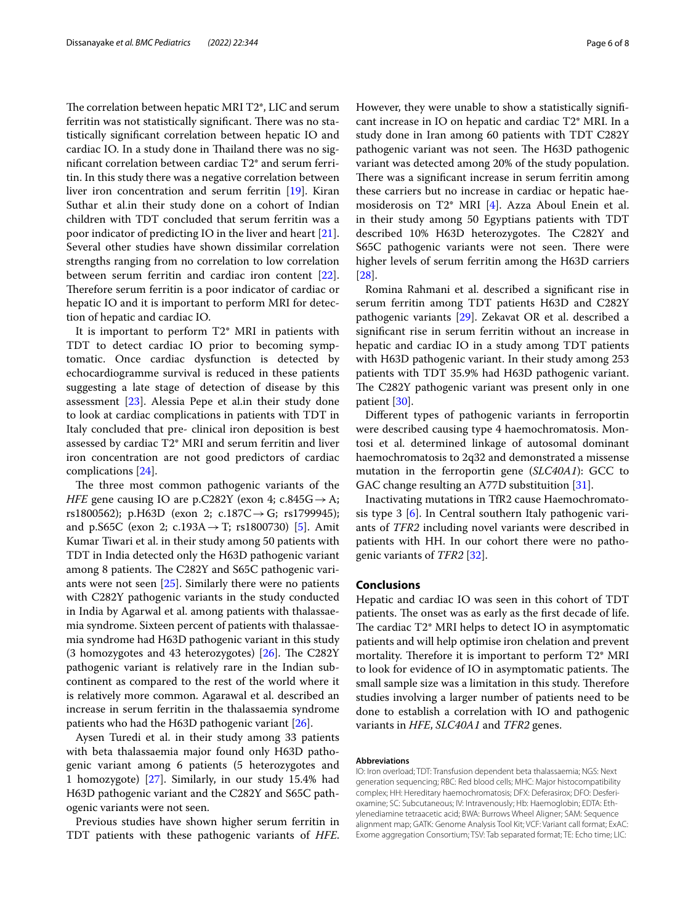The correlation between hepatic MRI  $T2^*$ , LIC and serum ferritin was not statistically significant. There was no statistically signifcant correlation between hepatic IO and cardiac IO. In a study done in Thailand there was no signifcant correlation between cardiac T2\* and serum ferritin. In this study there was a negative correlation between liver iron concentration and serum ferritin [[19\]](#page-6-18). Kiran Suthar et al. in their study done on a cohort of Indian children with TDT concluded that serum ferritin was a poor indicator of predicting IO in the liver and heart [\[21](#page-6-20)]. Several other studies have shown dissimilar correlation strengths ranging from no correlation to low correlation between serum ferritin and cardiac iron content [\[22](#page-6-21)]. Therefore serum ferritin is a poor indicator of cardiac or hepatic IO and it is important to perform MRI for detection of hepatic and cardiac IO.

It is important to perform T2\* MRI in patients with TDT to detect cardiac IO prior to becoming symptomatic. Once cardiac dysfunction is detected by echocardiogramme survival is reduced in these patients suggesting a late stage of detection of disease by this assessment [[23\]](#page-6-22). Alessia Pepe et al.in their study done to look at cardiac complications in patients with TDT in Italy concluded that pre- clinical iron deposition is best assessed by cardiac T2\* MRI and serum ferritin and liver iron concentration are not good predictors of cardiac complications [\[24](#page-6-23)].

The three most common pathogenic variants of the *HFE* gene causing IO are p.C282Y (exon 4; c.845G $\rightarrow$ A; rs1800562); p.H63D (exon 2; c.187C $\rightarrow$ G; rs1799945); and p.S65C (exon 2; c.193A  $\rightarrow$  T; rs1800730) [[5\]](#page-6-4). Amit Kumar Tiwari et al. in their study among 50 patients with TDT in India detected only the H63D pathogenic variant among 8 patients. The C282Y and S65C pathogenic variants were not seen [\[25](#page-6-24)]. Similarly there were no patients with C282Y pathogenic variants in the study conducted in India by Agarwal et al. among patients with thalassaemia syndrome. Sixteen percent of patients with thalassaemia syndrome had H63D pathogenic variant in this study (3 homozygotes and 43 heterozygotes)  $[26]$ . The C282Y pathogenic variant is relatively rare in the Indian subcontinent as compared to the rest of the world where it is relatively more common. Agarawal et al. described an increase in serum ferritin in the thalassaemia syndrome patients who had the H63D pathogenic variant [[26\]](#page-6-25).

Aysen Turedi et al. in their study among 33 patients with beta thalassaemia major found only H63D pathogenic variant among 6 patients (5 heterozygotes and 1 homozygote) [\[27](#page-7-0)]. Similarly, in our study 15.4% had H63D pathogenic variant and the C282Y and S65C pathogenic variants were not seen.

Previous studies have shown higher serum ferritin in TDT patients with these pathogenic variants of *HFE*. However, they were unable to show a statistically signifcant increase in IO on hepatic and cardiac T2\* MRI. In a study done in Iran among 60 patients with TDT C282Y pathogenic variant was not seen. The H63D pathogenic variant was detected among 20% of the study population. There was a significant increase in serum ferritin among these carriers but no increase in cardiac or hepatic haemosiderosis on T2\* MRI [\[4](#page-6-3)]. Azza Aboul Enein et al. in their study among 50 Egyptians patients with TDT described 10% H63D heterozygotes. The C282Y and S65C pathogenic variants were not seen. There were higher levels of serum ferritin among the H63D carriers [[28\]](#page-7-1).

Romina Rahmani et al. described a signifcant rise in serum ferritin among TDT patients H63D and C282Y pathogenic variants [\[29](#page-7-2)]. Zekavat OR et al. described a signifcant rise in serum ferritin without an increase in hepatic and cardiac IO in a study among TDT patients with H63D pathogenic variant. In their study among 253 patients with TDT 35.9% had H63D pathogenic variant. The C282Y pathogenic variant was present only in one patient [[30\]](#page-7-3).

Diferent types of pathogenic variants in ferroportin were described causing type 4 haemochromatosis. Montosi et al. determined linkage of autosomal dominant haemochromatosis to 2q32 and demonstrated a missense mutation in the ferroportin gene (*SLC40A1*): GCC to GAC change resulting an A77D substituition [[31\]](#page-7-4).

Inactivating mutations in TfR2 cause Haemochromatosis type 3 [[6](#page-6-5)]. In Central southern Italy pathogenic variants of *TFR2* including novel variants were described in patients with HH. In our cohort there were no pathogenic variants of *TFR2* [\[32](#page-7-5)].

# **Conclusions**

Hepatic and cardiac IO was seen in this cohort of TDT patients. The onset was as early as the first decade of life. The cardiac  $T2^*$  MRI helps to detect IO in asymptomatic patients and will help optimise iron chelation and prevent mortality. Therefore it is important to perform  $T2^*$  MRI to look for evidence of IO in asymptomatic patients. The small sample size was a limitation in this study. Therefore studies involving a larger number of patients need to be done to establish a correlation with IO and pathogenic variants in *HFE*, *SLC40A1* and *TFR2* genes.

#### **Abbreviations**

IO: Iron overload; TDT: Transfusion dependent beta thalassaemia; NGS: Next generation sequencing; RBC: Red blood cells; MHC: Major histocompatibility complex; HH: Hereditary haemochromatosis; DFX: Deferasirox; DFO: Desferioxamine; SC: Subcutaneous; IV: Intravenously; Hb: Haemoglobin; EDTA: Ethylenediamine tetraacetic acid; BWA: Burrows Wheel Aligner; SAM: Sequence alignment map; GATK: Genome Analysis Tool Kit; VCF: Variant call format; ExAC: Exome aggregation Consortium; TSV: Tab separated format; TE: Echo time; LIC: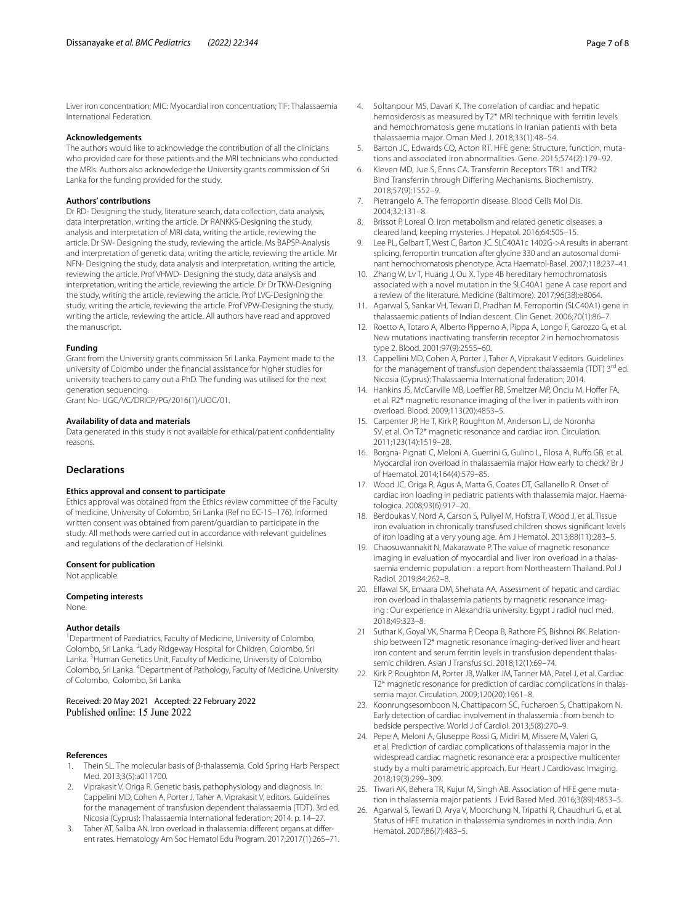Liver iron concentration; MIC: Myocardial iron concentration; TIF: Thalassaemia International Federation.

## **Acknowledgements**

The authors would like to acknowledge the contribution of all the clinicians who provided care for these patients and the MRI technicians who conducted the MRIs. Authors also acknowledge the University grants commission of Sri Lanka for the funding provided for the study.

#### **Authors' contributions**

Dr RD- Designing the study, literature search, data collection, data analysis, data interpretation, writing the article. Dr RANKKS-Designing the study, analysis and interpretation of MRI data, writing the article, reviewing the article. Dr SW- Designing the study, reviewing the article. Ms BAPSP-Analysis and interpretation of genetic data, writing the article, reviewing the article. Mr NFN- Designing the study, data analysis and interpretation, writing the article, reviewing the article. Prof VHWD- Designing the study, data analysis and interpretation, writing the article, reviewing the article. Dr Dr TKW-Designing the study, writing the article, reviewing the article. Prof LVG-Designing the study, writing the article, reviewing the article. Prof VPW-Designing the study, writing the article, reviewing the article. All authors have read and approved the manuscript.

## **Funding**

Grant from the University grants commission Sri Lanka. Payment made to the university of Colombo under the fnancial assistance for higher studies for university teachers to carry out a PhD. The funding was utilised for the next generation sequencing.

Grant No- UGC/VC/DRICP/PG/2016(1)/UOC/01.

#### **Availability of data and materials**

Data generated in this study is not available for ethical/patient confdentiality reasons.

#### **Declarations**

#### **Ethics approval and consent to participate**

Ethics approval was obtained from the Ethics review committee of the Faculty of medicine, University of Colombo, Sri Lanka (Ref no EC-15–176). Informed written consent was obtained from parent/guardian to participate in the study. All methods were carried out in accordance with relevant guidelines and regulations of the declaration of Helsinki.

#### **Consent for publication**

Not applicable.

#### **Competing interests**

None.

#### **Author details**

<sup>1</sup> Department of Paediatrics, Faculty of Medicine, University of Colombo, Colombo, Sri Lanka. <sup>2</sup> Lady Ridgeway Hospital for Children, Colombo, Sri Lanka. <sup>3</sup> Human Genetics Unit, Faculty of Medicine, University of Colombo, Colombo, Sri Lanka. <sup>4</sup> Department of Pathology, Faculty of Medicine, University of Colombo, Colombo, Sri Lanka.

# Received: 20 May 2021 Accepted: 22 February 2022

#### **References**

- <span id="page-6-0"></span>1. Thein SL. The molecular basis of β-thalassemia. Cold Spring Harb Perspect Med. 2013;3(5):a011700.
- <span id="page-6-1"></span>2. Viprakasit V, Origa R. Genetic basis, pathophysiology and diagnosis. In: Cappelini MD, Cohen A, Porter J, Taher A, Viprakasit V, editors. Guidelines for the management of transfusion dependent thalassaemia (TDT). 3rd ed. Nicosia (Cyprus): Thalassaemia International federation; 2014. p. 14–27.
- <span id="page-6-2"></span>3. Taher AT, Saliba AN. Iron overload in thalassemia: diferent organs at diferent rates. Hematology Am Soc Hematol Edu Program. 2017;2017(1):265–71.
- <span id="page-6-3"></span>4. Soltanpour MS, Davari K. The correlation of cardiac and hepatic hemosiderosis as measured by T2\* MRI technique with ferritin levels and hemochromatosis gene mutations in Iranian patients with beta thalassaemia major. Oman Med J. 2018;33(1):48–54.
- <span id="page-6-4"></span>5. Barton JC, Edwards CQ, Acton RT. HFE gene: Structure, function, mutations and associated iron abnormalities. Gene. 2015;574(2):179–92.
- <span id="page-6-5"></span>6. Kleven MD, Jue S, Enns CA. Transferrin Receptors TfR1 and TfR2 Bind Transferrin through Difering Mechanisms. Biochemistry. 2018;57(9):1552–9.
- <span id="page-6-6"></span>7. Pietrangelo A. The ferroportin disease. Blood Cells Mol Dis. 2004;32:131–8.
- <span id="page-6-7"></span>8. Brissot P, Loreal O. Iron metabolism and related genetic diseases: a cleared land, keeping mysteries. J Hepatol. 2016;64:505–15.
- <span id="page-6-8"></span>Lee PL, Gelbart T, West C, Barton JC. SLC40A1c 1402G->A results in aberrant splicing, ferroportin truncation after glycine 330 and an autosomal dominant hemochromatosis phenotype. Acta Haematol-Basel. 2007;118:237–41.
- <span id="page-6-9"></span>10. Zhang W, Lv T, Huang J, Ou X. Type 4B hereditary hemochromatosis associated with a novel mutation in the SLC40A1 gene A case report and a review of the literature. Medicine (Baltimore). 2017;96(38):e8064.
- <span id="page-6-10"></span>11. Agarwal S, Sankar VH, Tewari D, Pradhan M. Ferroportin (SLC40A1) gene in thalassaemic patients of Indian descent. Clin Genet. 2006;70(1):86–7.
- <span id="page-6-11"></span>12. Roetto A, Totaro A, Alberto Pipperno A, Pippa A, Longo F, Garozzo G, et al. New mutations inactivating transferrin receptor 2 in hemochromatosis type 2. Blood. 2001;97(9):2555–60.
- <span id="page-6-12"></span>13. Cappellini MD, Cohen A, Porter J, Taher A, Viprakasit V editors. Guidelines for the management of transfusion dependent thalassaemia (TDT) 3rd ed. Nicosia (Cyprus): Thalassaemia International federation; 2014.
- <span id="page-6-13"></span>14. Hankins JS, McCarville MB, Loeffler RB, Smeltzer MP, Onciu M, Hoffer FA, et al. R2\* magnetic resonance imaging of the liver in patients with iron overload. Blood. 2009;113(20):4853–5.
- <span id="page-6-14"></span>15. Carpenter JP, He T, Kirk P, Roughton M, Anderson LJ, de Noronha SV, et al. On T2\* magnetic resonance and cardiac iron. Circulation. 2011;123(14):1519–28.
- <span id="page-6-15"></span>16. Borgna- Pignati C, Meloni A, Guerrini G, Gulino L, Filosa A, Rufo GB, et al. Myocardial iron overload in thalassaemia major How early to check? Br J of Haematol. 2014;164(4):579–85.
- <span id="page-6-16"></span>17. Wood JC, Origa R, Agus A, Matta G, Coates DT, Gallanello R. Onset of cardiac iron loading in pediatric patients with thalassemia major. Haematologica. 2008;93(6):917–20.
- <span id="page-6-17"></span>18. Berdoukas V, Nord A, Carson S, Puliyel M, Hofstra T, Wood J, et al. Tissue iron evaluation in chronically transfused children shows signifcant levels of iron loading at a very young age. Am J Hematol. 2013;88(11):283–5.
- <span id="page-6-18"></span>19. Chaosuwannakit N, Makarawate P. The value of magnetic resonance imaging in evaluation of myocardial and liver iron overload in a thalassaemia endemic population : a report from Northeastern Thailand. Pol J Radiol. 2019;84:262–8.
- <span id="page-6-19"></span>20. Elfawal SK, Emaara DM, Shehata AA. Assessment of hepatic and cardiac iron overload in thalassemia patients by magnetic resonance imaging : Our experience in Alexandria university. Egypt J radiol nucl med. 2018;49:323–8.
- <span id="page-6-20"></span>21 Suthar K, Goyal VK, Sharma P, Deopa B, Rathore PS, Bishnoi RK. Relationship between T2\* magnetic resonance imaging-derived liver and heart iron content and serum ferritin levels in transfusion dependent thalassemic children. Asian J Transfus sci. 2018;12(1):69–74.
- <span id="page-6-21"></span>22. Kirk P, Roughton M, Porter JB, Walker JM, Tanner MA, Patel J, et al. Cardiac T2\* magnetic resonance for prediction of cardiac complications in thalassemia major. Circulation. 2009;120(20):1961–8.
- <span id="page-6-22"></span>23. Koonrungsesomboon N, Chattipacorn SC, Fucharoen S, Chattipakorn N. Early detection of cardiac involvement in thalassemia : from bench to bedside perspective. World J of Cardiol. 2013;5(8):270–9.
- <span id="page-6-23"></span>24. Pepe A, Meloni A, Gluseppe Rossi G, Midiri M, Missere M, Valeri G, et al. Prediction of cardiac complications of thalassemia major in the widespread cardiac magnetic resonance era: a prospective multicenter study by a multi parametric approach. Eur Heart J Cardiovasc Imaging. 2018;19(3):299–309.
- <span id="page-6-24"></span>25. Tiwari AK, Behera TR, Kujur M, Singh AB. Association of HFE gene mutation in thalassemia major patients. J Evid Based Med. 2016;3(89):4853–5.
- <span id="page-6-25"></span>26. Agarwal S, Tewari D, Arya V, Moorchung N, Tripathi R, Chaudhuri G, et al. Status of HFE mutation in thalassemia syndromes in north India. Ann Hematol. 2007;86(7):483–5.